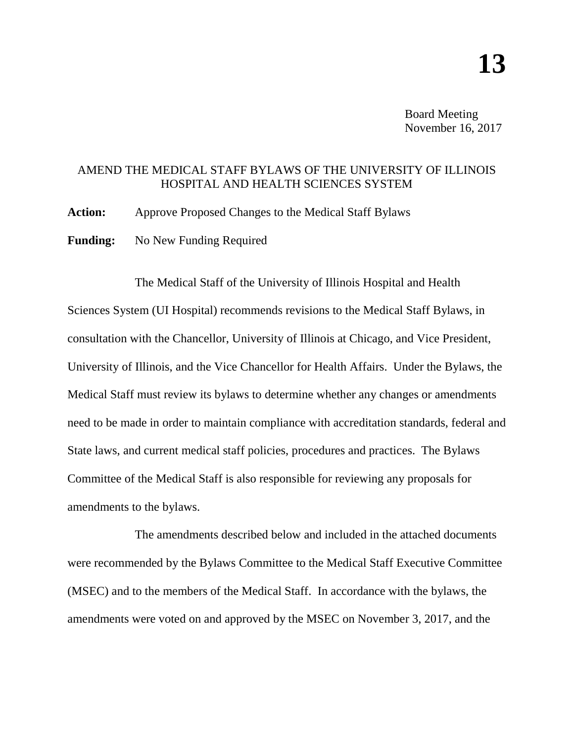Board Meeting November 16, 2017

### AMEND THE MEDICAL STAFF BYLAWS OF THE UNIVERSITY OF ILLINOIS HOSPITAL AND HEALTH SCIENCES SYSTEM

**Action:** Approve Proposed Changes to the Medical Staff Bylaws

**Funding:** No New Funding Required

The Medical Staff of the University of Illinois Hospital and Health Sciences System (UI Hospital) recommends revisions to the Medical Staff Bylaws, in consultation with the Chancellor, University of Illinois at Chicago, and Vice President, University of Illinois, and the Vice Chancellor for Health Affairs. Under the Bylaws, the Medical Staff must review its bylaws to determine whether any changes or amendments need to be made in order to maintain compliance with accreditation standards, federal and State laws, and current medical staff policies, procedures and practices. The Bylaws Committee of the Medical Staff is also responsible for reviewing any proposals for amendments to the bylaws.

The amendments described below and included in the attached documents were recommended by the Bylaws Committee to the Medical Staff Executive Committee (MSEC) and to the members of the Medical Staff. In accordance with the bylaws, the amendments were voted on and approved by the MSEC on November 3, 2017, and the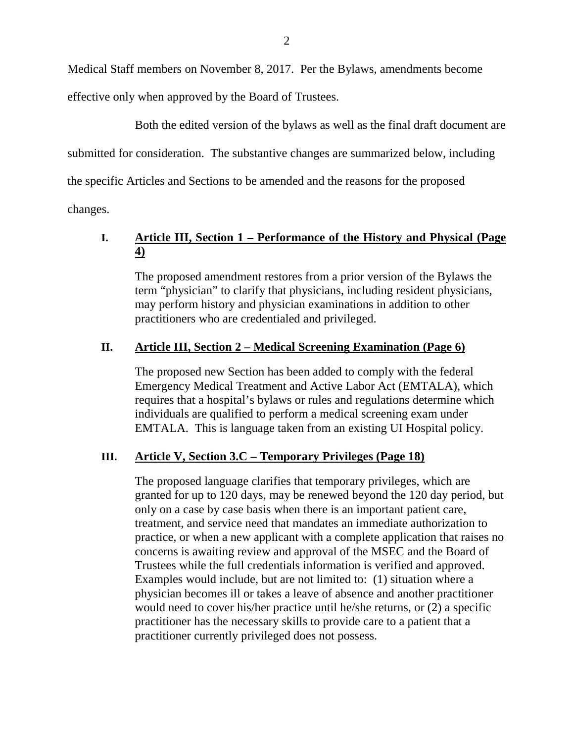Medical Staff members on November 8, 2017. Per the Bylaws, amendments become

effective only when approved by the Board of Trustees.

Both the edited version of the bylaws as well as the final draft document are

submitted for consideration. The substantive changes are summarized below, including

the specific Articles and Sections to be amended and the reasons for the proposed

changes.

# **I. Article III, Section 1 – Performance of the History and Physical (Page 4)**

The proposed amendment restores from a prior version of the Bylaws the term "physician" to clarify that physicians, including resident physicians, may perform history and physician examinations in addition to other practitioners who are credentialed and privileged.

## **II. Article III, Section 2 – Medical Screening Examination (Page 6)**

The proposed new Section has been added to comply with the federal Emergency Medical Treatment and Active Labor Act (EMTALA), which requires that a hospital's bylaws or rules and regulations determine which individuals are qualified to perform a medical screening exam under EMTALA. This is language taken from an existing UI Hospital policy.

### **III. Article V, Section 3.C – Temporary Privileges (Page 18)**

The proposed language clarifies that temporary privileges, which are granted for up to 120 days, may be renewed beyond the 120 day period, but only on a case by case basis when there is an important patient care, treatment, and service need that mandates an immediate authorization to practice, or when a new applicant with a complete application that raises no concerns is awaiting review and approval of the MSEC and the Board of Trustees while the full credentials information is verified and approved. Examples would include, but are not limited to: (1) situation where a physician becomes ill or takes a leave of absence and another practitioner would need to cover his/her practice until he/she returns, or (2) a specific practitioner has the necessary skills to provide care to a patient that a practitioner currently privileged does not possess.